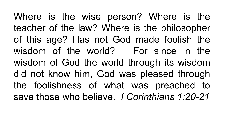Where is the wise person? Where is the teacher of the law? Where is the philosopher of this age? Has not God made foolish the wisdom of the world? For since in the wisdom of God the world through its wisdom did not know him, God was pleased through the foolishness of what was preached to save those who believe. *I Corinthians 1:20-21*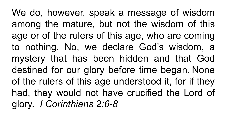We do, however, speak a message of wisdom among the mature, but not the wisdom of this age or of the rulers of this age, who are coming to nothing. No, we declare God's wisdom, a mystery that has been hidden and that God destined for our glory before time began. None of the rulers of this age understood it, for if they had, they would not have crucified the Lord of glory. *I Corinthians 2:6-8*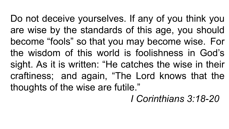Do not deceive yourselves. If any of you think you are wise by the standards of this age, you should become "fools" so that you may become wise. For the wisdom of this world is foolishness in God's sight. As it is written: "He catches the wise in their craftiness; and again, "The Lord knows that the thoughts of the wise are futile."

*I Corinthians 3:18-20*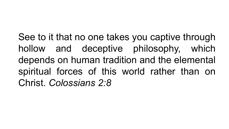See to it that no one takes you captive through hollow and deceptive philosophy, which depends on human tradition and the elemental spiritual forces of this world rather than on Christ. *Colossians 2:8*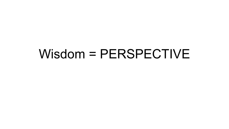# Wisdom = PERSPECTIVE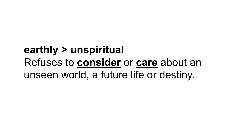#### **earthly > unspiritual** Refuses to **consider** or **care** about an unseen world, a future life or destiny.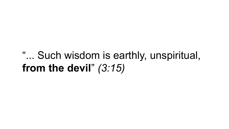#### "... Such wisdom is earthly, unspiritual, **from the devil**" *(3:15)*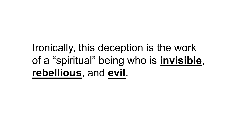### Ironically, this deception is the work of a "spiritual" being who is **invisible**, **rebellious**, and **evil**.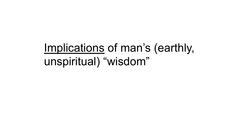# Implications of man's (earthly, unspiritual) "wisdom"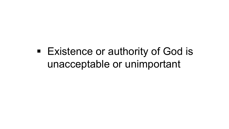#### ■ Existence or authority of God is unacceptable or unimportant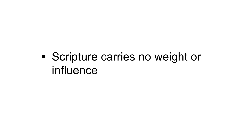### § Scripture carries no weight or influence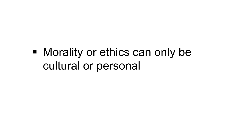# § Morality or ethics can only be cultural or personal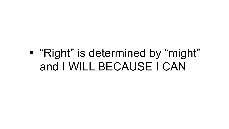### ■ "Right" is determined by "might" and I WILL BECAUSE I CAN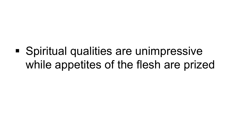# § Spiritual qualities are unimpressive while appetites of the flesh are prized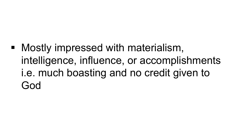■ Mostly impressed with materialism, intelligence, influence, or accomplishments i.e. much boasting and no credit given to God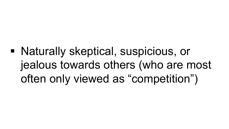# § Naturally skeptical, suspicious, or jealous towards others (who are most often only viewed as "competition")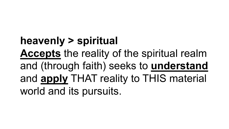**heavenly > spiritual Accepts** the reality of the spiritual realm and (through faith) seeks to **understand** and **apply** THAT reality to THIS material world and its pursuits.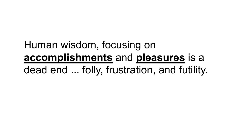### Human wisdom, focusing on **accomplishments** and **pleasures** is a dead end ... folly, frustration, and futility.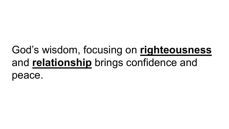#### God's wisdom, focusing on **righteousness** and **relationship** brings confidence and peace.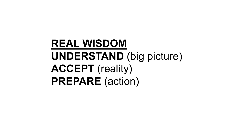### **REAL WISDOM UNDERSTAND** (big picture) **ACCEPT** (reality) **PREPARE** (action)